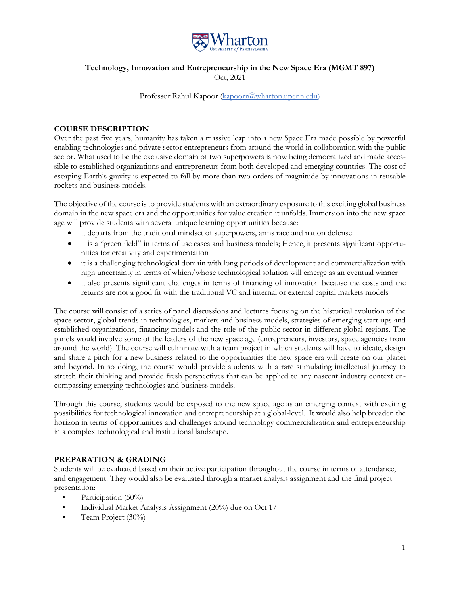

# **Technology, Innovation and Entrepreneurship in the New Space Era (MGMT 897)** Oct, 2021

### Professor Rahul Kapoor [\(kapoorr@wharton.upenn.edu\)](mailto:kapoorr@wharton.upenn.edu)

# **COURSE DESCRIPTION**

Over the past five years, humanity has taken a massive leap into a new Space Era made possible by powerful enabling technologies and private sector entrepreneurs from around the world in collaboration with the public sector. What used to be the exclusive domain of two superpowers is now being democratized and made accessible to established organizations and entrepreneurs from both developed and emerging countries. The cost of escaping Earth's gravity is expected to fall by more than two orders of magnitude by innovations in reusable rockets and business models.

The objective of the course is to provide students with an extraordinary exposure to this exciting global business domain in the new space era and the opportunities for value creation it unfolds. Immersion into the new space age will provide students with several unique learning opportunities because:

- it departs from the traditional mindset of superpowers, arms race and nation defense
- it is a "green field" in terms of use cases and business models; Hence, it presents significant opportunities for creativity and experimentation
- it is a challenging technological domain with long periods of development and commercialization with high uncertainty in terms of which/whose technological solution will emerge as an eventual winner
- it also presents significant challenges in terms of financing of innovation because the costs and the returns are not a good fit with the traditional VC and internal or external capital markets models

The course will consist of a series of panel discussions and lectures focusing on the historical evolution of the space sector, global trends in technologies, markets and business models, strategies of emerging start-ups and established organizations, financing models and the role of the public sector in different global regions. The panels would involve some of the leaders of the new space age (entrepreneurs, investors, space agencies from around the world). The course will culminate with a team project in which students will have to ideate, design and share a pitch for a new business related to the opportunities the new space era will create on our planet and beyond. In so doing, the course would provide students with a rare stimulating intellectual journey to stretch their thinking and provide fresh perspectives that can be applied to any nascent industry context encompassing emerging technologies and business models.

Through this course, students would be exposed to the new space age as an emerging context with exciting possibilities for technological innovation and entrepreneurship at a global-level. It would also help broaden the horizon in terms of opportunities and challenges around technology commercialization and entrepreneurship in a complex technological and institutional landscape.

## **PREPARATION & GRADING**

Students will be evaluated based on their active participation throughout the course in terms of attendance, and engagement. They would also be evaluated through a market analysis assignment and the final project presentation:

- Participation (50%)
- Individual Market Analysis Assignment (20%) due on Oct 17
- Team Project (30%)